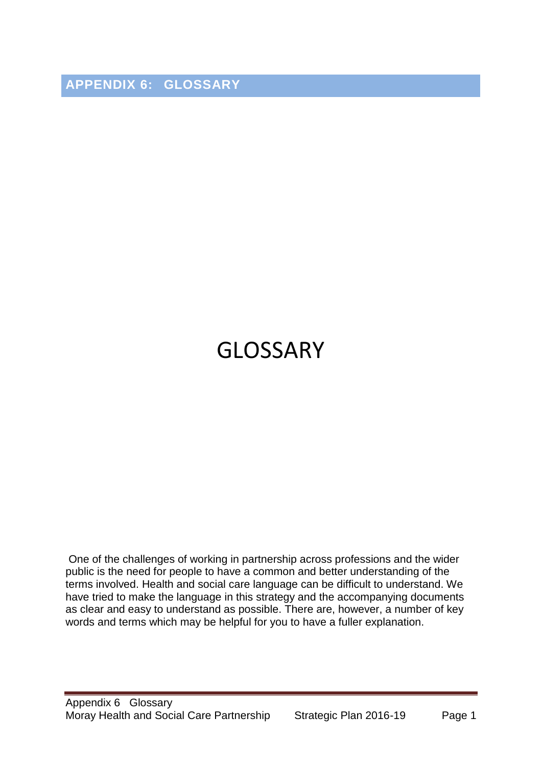**APPENDIX 6: GLOSSARY**

## GLOSSARY

One of the challenges of working in partnership across professions and the wider public is the need for people to have a common and better understanding of the terms involved. Health and social care language can be difficult to understand. We have tried to make the language in this strategy and the accompanying documents as clear and easy to understand as possible. There are, however, a number of key words and terms which may be helpful for you to have a fuller explanation.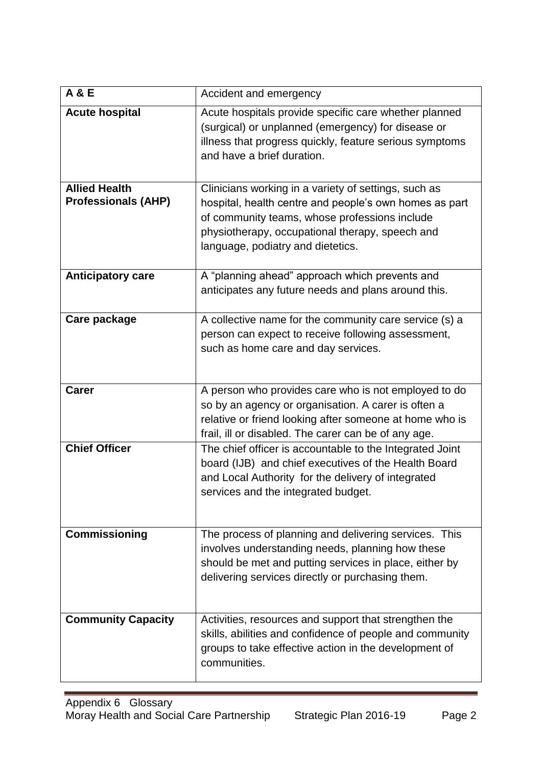| <b>A &amp; E</b>                                   | Accident and emergency                                                                                                                                                                                                                                  |
|----------------------------------------------------|---------------------------------------------------------------------------------------------------------------------------------------------------------------------------------------------------------------------------------------------------------|
| <b>Acute hospital</b>                              | Acute hospitals provide specific care whether planned<br>(surgical) or unplanned (emergency) for disease or<br>illness that progress quickly, feature serious symptoms<br>and have a brief duration.                                                    |
| <b>Allied Health</b><br><b>Professionals (AHP)</b> | Clinicians working in a variety of settings, such as<br>hospital, health centre and people's own homes as part<br>of community teams, whose professions include<br>physiotherapy, occupational therapy, speech and<br>language, podiatry and dietetics. |
| <b>Anticipatory care</b>                           | A "planning ahead" approach which prevents and<br>anticipates any future needs and plans around this.                                                                                                                                                   |
| Care package                                       | A collective name for the community care service (s) a<br>person can expect to receive following assessment,<br>such as home care and day services.                                                                                                     |
| <b>Carer</b>                                       | A person who provides care who is not employed to do<br>so by an agency or organisation. A carer is often a<br>relative or friend looking after someone at home who is<br>frail, ill or disabled. The carer can be of any age.                          |
| <b>Chief Officer</b>                               | The chief officer is accountable to the Integrated Joint<br>board (IJB) and chief executives of the Health Board<br>and Local Authority for the delivery of integrated<br>services and the integrated budget.                                           |
| <b>Commissioning</b>                               | The process of planning and delivering services. This<br>involves understanding needs, planning how these<br>should be met and putting services in place, either by<br>delivering services directly or purchasing them.                                 |
| <b>Community Capacity</b>                          | Activities, resources and support that strengthen the<br>skills, abilities and confidence of people and community<br>groups to take effective action in the development of<br>communities.                                                              |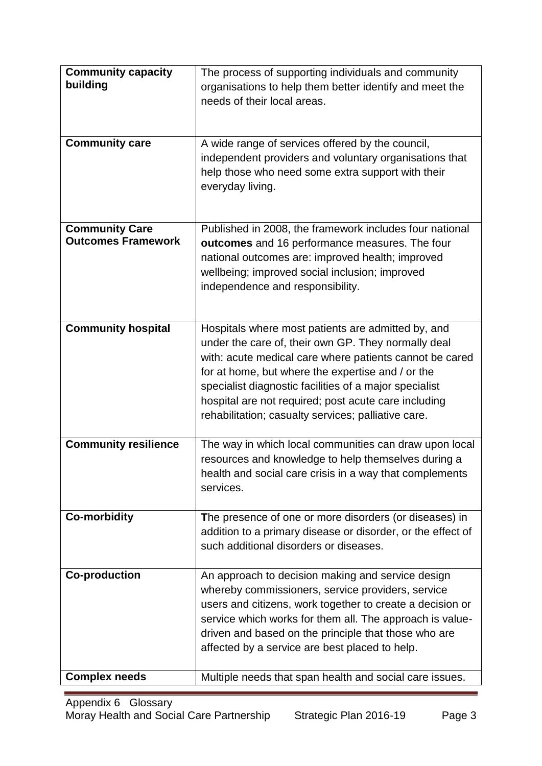| <b>Community capacity</b>                          | The process of supporting individuals and community         |
|----------------------------------------------------|-------------------------------------------------------------|
| building                                           | organisations to help them better identify and meet the     |
|                                                    | needs of their local areas.                                 |
|                                                    |                                                             |
|                                                    |                                                             |
| <b>Community care</b>                              | A wide range of services offered by the council,            |
|                                                    | independent providers and voluntary organisations that      |
|                                                    | help those who need some extra support with their           |
|                                                    | everyday living.                                            |
|                                                    |                                                             |
|                                                    |                                                             |
| <b>Community Care</b><br><b>Outcomes Framework</b> | Published in 2008, the framework includes four national     |
|                                                    | outcomes and 16 performance measures. The four              |
|                                                    | national outcomes are: improved health; improved            |
|                                                    | wellbeing; improved social inclusion; improved              |
|                                                    | independence and responsibility.                            |
|                                                    |                                                             |
| <b>Community hospital</b>                          | Hospitals where most patients are admitted by, and          |
|                                                    | under the care of, their own GP. They normally deal         |
|                                                    | with: acute medical care where patients cannot be cared     |
|                                                    | for at home, but where the expertise and / or the           |
|                                                    | specialist diagnostic facilities of a major specialist      |
|                                                    | hospital are not required; post acute care including        |
|                                                    | rehabilitation; casualty services; palliative care.         |
|                                                    |                                                             |
| <b>Community resilience</b>                        | The way in which local communities can draw upon local      |
|                                                    | resources and knowledge to help themselves during a         |
|                                                    | health and social care crisis in a way that complements     |
|                                                    | services.                                                   |
| <b>Co-morbidity</b>                                | The presence of one or more disorders (or diseases) in      |
|                                                    | addition to a primary disease or disorder, or the effect of |
|                                                    | such additional disorders or diseases.                      |
|                                                    |                                                             |
| <b>Co-production</b>                               | An approach to decision making and service design           |
|                                                    | whereby commissioners, service providers, service           |
|                                                    | users and citizens, work together to create a decision or   |
|                                                    | service which works for them all. The approach is value-    |
|                                                    | driven and based on the principle that those who are        |
|                                                    | affected by a service are best placed to help.              |
|                                                    |                                                             |
| <b>Complex needs</b>                               | Multiple needs that span health and social care issues.     |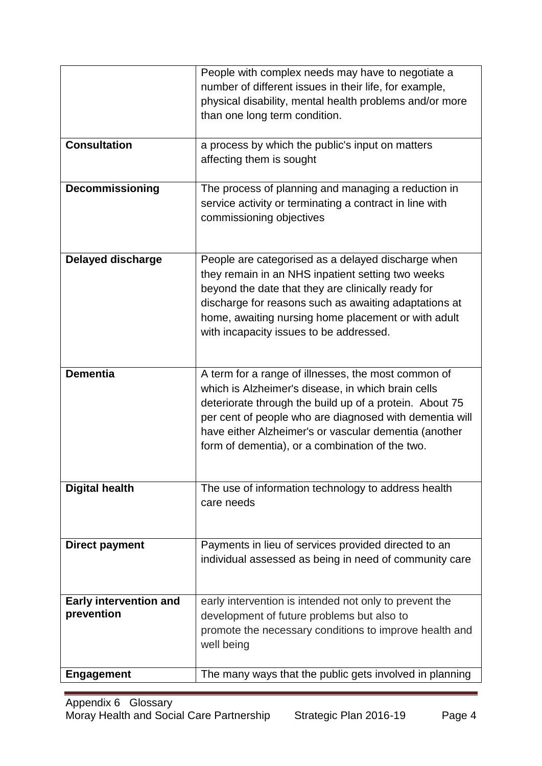|                                             | People with complex needs may have to negotiate a<br>number of different issues in their life, for example,<br>physical disability, mental health problems and/or more<br>than one long term condition.                                                                                                                                     |
|---------------------------------------------|---------------------------------------------------------------------------------------------------------------------------------------------------------------------------------------------------------------------------------------------------------------------------------------------------------------------------------------------|
| <b>Consultation</b>                         | a process by which the public's input on matters<br>affecting them is sought                                                                                                                                                                                                                                                                |
| Decommissioning                             | The process of planning and managing a reduction in<br>service activity or terminating a contract in line with<br>commissioning objectives                                                                                                                                                                                                  |
| <b>Delayed discharge</b>                    | People are categorised as a delayed discharge when<br>they remain in an NHS inpatient setting two weeks<br>beyond the date that they are clinically ready for<br>discharge for reasons such as awaiting adaptations at<br>home, awaiting nursing home placement or with adult<br>with incapacity issues to be addressed.                    |
| <b>Dementia</b>                             | A term for a range of illnesses, the most common of<br>which is Alzheimer's disease, in which brain cells<br>deteriorate through the build up of a protein. About 75<br>per cent of people who are diagnosed with dementia will<br>have either Alzheimer's or vascular dementia (another<br>form of dementia), or a combination of the two. |
| <b>Digital health</b>                       | The use of information technology to address health<br>care needs                                                                                                                                                                                                                                                                           |
| <b>Direct payment</b>                       | Payments in lieu of services provided directed to an<br>individual assessed as being in need of community care                                                                                                                                                                                                                              |
| <b>Early intervention and</b><br>prevention | early intervention is intended not only to prevent the<br>development of future problems but also to<br>promote the necessary conditions to improve health and<br>well being                                                                                                                                                                |
| <b>Engagement</b>                           | The many ways that the public gets involved in planning                                                                                                                                                                                                                                                                                     |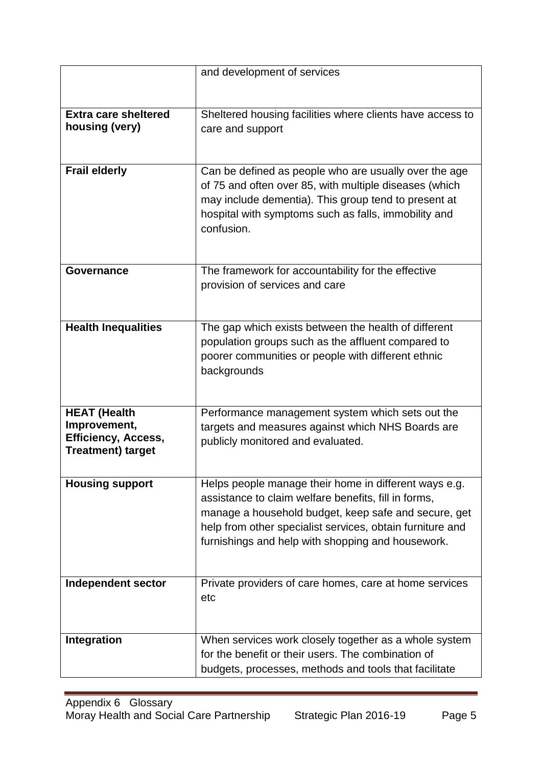|                             | and development of services                                       |
|-----------------------------|-------------------------------------------------------------------|
|                             |                                                                   |
|                             |                                                                   |
| <b>Extra care sheltered</b> | Sheltered housing facilities where clients have access to         |
| housing (very)              | care and support                                                  |
|                             |                                                                   |
| <b>Frail elderly</b>        | Can be defined as people who are usually over the age             |
|                             | of 75 and often over 85, with multiple diseases (which            |
|                             | may include dementia). This group tend to present at              |
|                             | hospital with symptoms such as falls, immobility and              |
|                             | confusion.                                                        |
|                             |                                                                   |
|                             |                                                                   |
| <b>Governance</b>           | The framework for accountability for the effective                |
|                             | provision of services and care                                    |
|                             |                                                                   |
|                             |                                                                   |
| <b>Health Inequalities</b>  | The gap which exists between the health of different              |
|                             | population groups such as the affluent compared to                |
|                             | poorer communities or people with different ethnic<br>backgrounds |
|                             |                                                                   |
|                             |                                                                   |
| <b>HEAT (Health</b>         | Performance management system which sets out the                  |
| Improvement,                | targets and measures against which NHS Boards are                 |
| <b>Efficiency, Access,</b>  | publicly monitored and evaluated.                                 |
| <b>Treatment) target</b>    |                                                                   |
|                             |                                                                   |
| <b>Housing support</b>      | Helps people manage their home in different ways e.g.             |
|                             | assistance to claim welfare benefits, fill in forms,              |
|                             | manage a household budget, keep safe and secure, get              |
|                             | help from other specialist services, obtain furniture and         |
|                             | furnishings and help with shopping and housework.                 |
|                             |                                                                   |
| Independent sector          | Private providers of care homes, care at home services            |
|                             | etc                                                               |
|                             |                                                                   |
|                             |                                                                   |
| Integration                 | When services work closely together as a whole system             |
|                             | for the benefit or their users. The combination of                |
|                             | budgets, processes, methods and tools that facilitate             |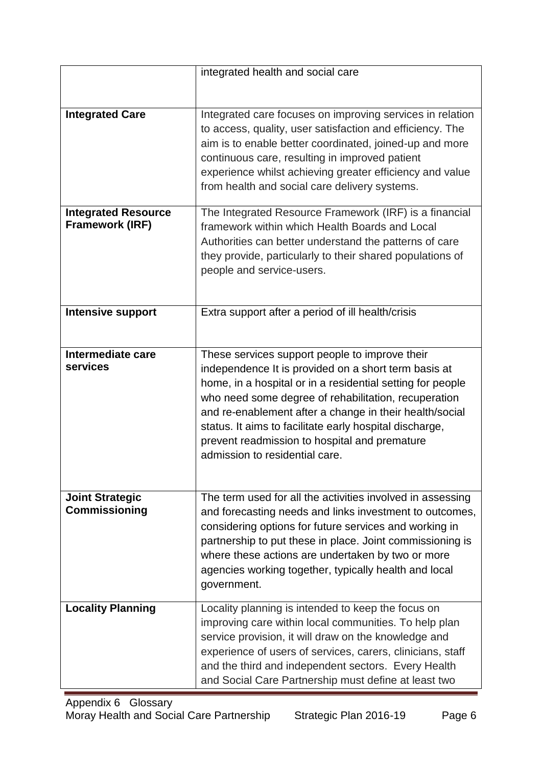|                                                      | integrated health and social care                                                                                                                                                                                                                                                                                                                                                                                                     |
|------------------------------------------------------|---------------------------------------------------------------------------------------------------------------------------------------------------------------------------------------------------------------------------------------------------------------------------------------------------------------------------------------------------------------------------------------------------------------------------------------|
|                                                      |                                                                                                                                                                                                                                                                                                                                                                                                                                       |
| <b>Integrated Care</b>                               | Integrated care focuses on improving services in relation<br>to access, quality, user satisfaction and efficiency. The<br>aim is to enable better coordinated, joined-up and more<br>continuous care, resulting in improved patient<br>experience whilst achieving greater efficiency and value<br>from health and social care delivery systems.                                                                                      |
| <b>Integrated Resource</b><br><b>Framework (IRF)</b> | The Integrated Resource Framework (IRF) is a financial<br>framework within which Health Boards and Local<br>Authorities can better understand the patterns of care<br>they provide, particularly to their shared populations of<br>people and service-users.                                                                                                                                                                          |
| <b>Intensive support</b>                             | Extra support after a period of ill health/crisis                                                                                                                                                                                                                                                                                                                                                                                     |
| Intermediate care<br>services                        | These services support people to improve their<br>independence It is provided on a short term basis at<br>home, in a hospital or in a residential setting for people<br>who need some degree of rehabilitation, recuperation<br>and re-enablement after a change in their health/social<br>status. It aims to facilitate early hospital discharge,<br>prevent readmission to hospital and premature<br>admission to residential care. |
| <b>Joint Strategic</b><br><b>Commissioning</b>       | The term used for all the activities involved in assessing<br>and forecasting needs and links investment to outcomes,<br>considering options for future services and working in<br>partnership to put these in place. Joint commissioning is<br>where these actions are undertaken by two or more<br>agencies working together, typically health and local<br>government.                                                             |
| <b>Locality Planning</b>                             | Locality planning is intended to keep the focus on<br>improving care within local communities. To help plan<br>service provision, it will draw on the knowledge and<br>experience of users of services, carers, clinicians, staff<br>and the third and independent sectors. Every Health<br>and Social Care Partnership must define at least two                                                                                      |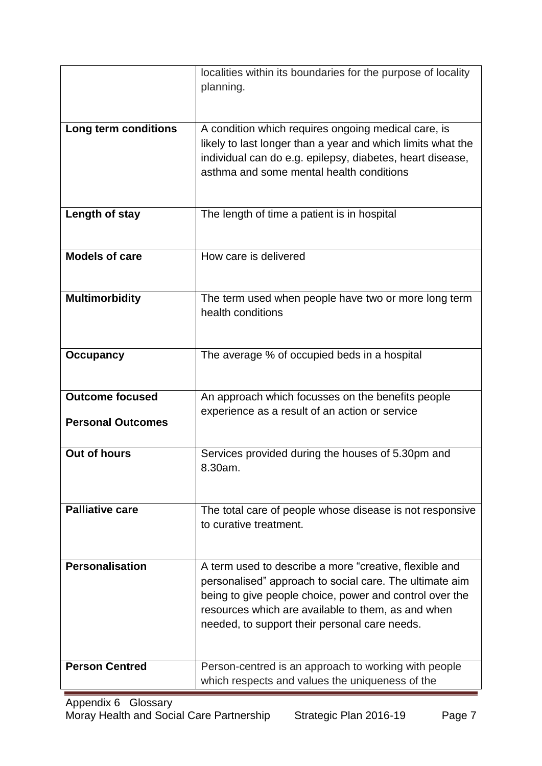|                          | localities within its boundaries for the purpose of locality                                                       |
|--------------------------|--------------------------------------------------------------------------------------------------------------------|
|                          | planning.                                                                                                          |
|                          |                                                                                                                    |
| Long term conditions     | A condition which requires ongoing medical care, is<br>likely to last longer than a year and which limits what the |
|                          | individual can do e.g. epilepsy, diabetes, heart disease,                                                          |
|                          | asthma and some mental health conditions                                                                           |
|                          |                                                                                                                    |
| Length of stay           | The length of time a patient is in hospital                                                                        |
|                          |                                                                                                                    |
| <b>Models of care</b>    | How care is delivered                                                                                              |
|                          |                                                                                                                    |
| <b>Multimorbidity</b>    | The term used when people have two or more long term                                                               |
|                          | health conditions                                                                                                  |
|                          |                                                                                                                    |
| <b>Occupancy</b>         | The average % of occupied beds in a hospital                                                                       |
|                          |                                                                                                                    |
| <b>Outcome focused</b>   | An approach which focusses on the benefits people                                                                  |
| <b>Personal Outcomes</b> | experience as a result of an action or service                                                                     |
|                          |                                                                                                                    |
| <b>Out of hours</b>      | Services provided during the houses of 5.30pm and                                                                  |
|                          | 8.30am.                                                                                                            |
| <b>Palliative care</b>   |                                                                                                                    |
|                          | The total care of people whose disease is not responsive<br>to curative treatment.                                 |
|                          |                                                                                                                    |
| <b>Personalisation</b>   | A term used to describe a more "creative, flexible and                                                             |
|                          | personalised" approach to social care. The ultimate aim                                                            |
|                          | being to give people choice, power and control over the<br>resources which are available to them, as and when      |
|                          | needed, to support their personal care needs.                                                                      |
|                          |                                                                                                                    |
| <b>Person Centred</b>    | Person-centred is an approach to working with people                                                               |
|                          | which respects and values the uniqueness of the                                                                    |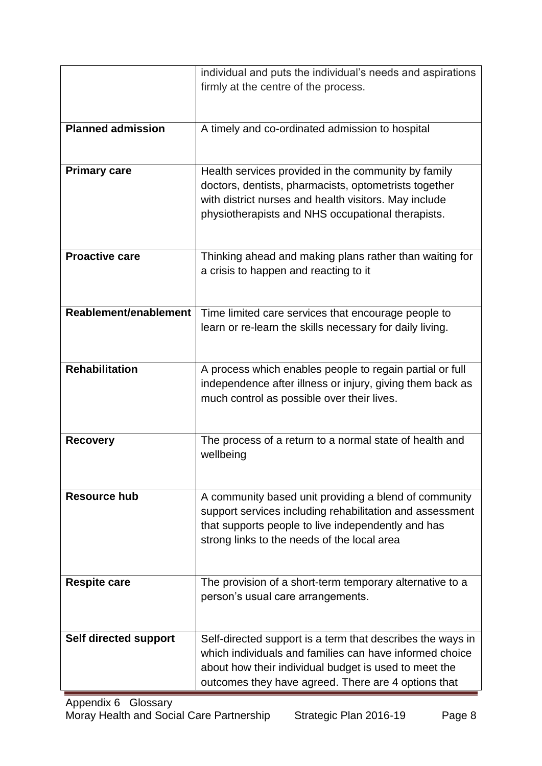|                          | individual and puts the individual's needs and aspirations |
|--------------------------|------------------------------------------------------------|
|                          | firmly at the centre of the process.                       |
|                          |                                                            |
|                          |                                                            |
| <b>Planned admission</b> | A timely and co-ordinated admission to hospital            |
|                          |                                                            |
|                          |                                                            |
| <b>Primary care</b>      | Health services provided in the community by family        |
|                          | doctors, dentists, pharmacists, optometrists together      |
|                          | with district nurses and health visitors. May include      |
|                          | physiotherapists and NHS occupational therapists.          |
|                          |                                                            |
|                          |                                                            |
| <b>Proactive care</b>    | Thinking ahead and making plans rather than waiting for    |
|                          | a crisis to happen and reacting to it                      |
|                          |                                                            |
|                          |                                                            |
| Reablement/enablement    | Time limited care services that encourage people to        |
|                          | learn or re-learn the skills necessary for daily living.   |
|                          |                                                            |
|                          |                                                            |
| <b>Rehabilitation</b>    | A process which enables people to regain partial or full   |
|                          | independence after illness or injury, giving them back as  |
|                          | much control as possible over their lives.                 |
|                          |                                                            |
|                          | The process of a return to a normal state of health and    |
| <b>Recovery</b>          | wellbeing                                                  |
|                          |                                                            |
|                          |                                                            |
| <b>Resource hub</b>      | A community based unit providing a blend of community      |
|                          | support services including rehabilitation and assessment   |
|                          | that supports people to live independently and has         |
|                          | strong links to the needs of the local area                |
|                          |                                                            |
|                          |                                                            |
| <b>Respite care</b>      | The provision of a short-term temporary alternative to a   |
|                          | person's usual care arrangements.                          |
|                          |                                                            |
|                          |                                                            |
| Self directed support    | Self-directed support is a term that describes the ways in |
|                          | which individuals and families can have informed choice    |
|                          | about how their individual budget is used to meet the      |
|                          | outcomes they have agreed. There are 4 options that        |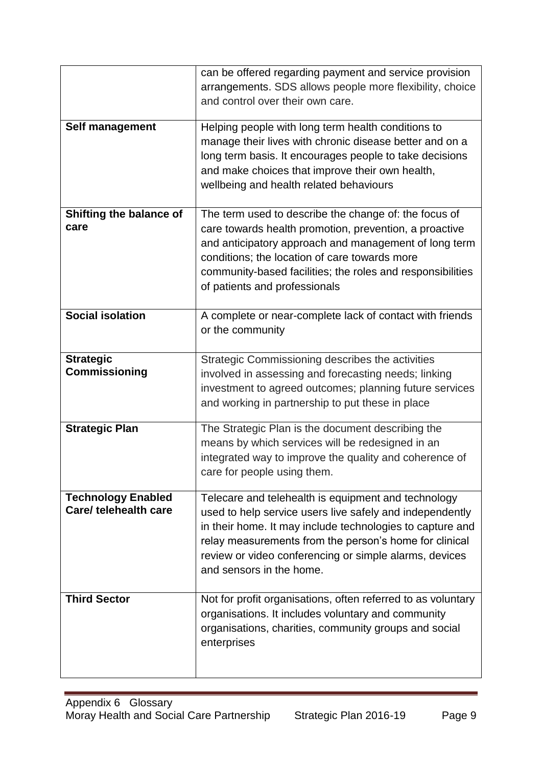|                                                    | can be offered regarding payment and service provision<br>arrangements. SDS allows people more flexibility, choice<br>and control over their own care.                                                                                                                                                                       |
|----------------------------------------------------|------------------------------------------------------------------------------------------------------------------------------------------------------------------------------------------------------------------------------------------------------------------------------------------------------------------------------|
| Self management                                    | Helping people with long term health conditions to<br>manage their lives with chronic disease better and on a<br>long term basis. It encourages people to take decisions<br>and make choices that improve their own health,<br>wellbeing and health related behaviours                                                       |
| Shifting the balance of<br>care                    | The term used to describe the change of: the focus of<br>care towards health promotion, prevention, a proactive<br>and anticipatory approach and management of long term<br>conditions; the location of care towards more<br>community-based facilities; the roles and responsibilities<br>of patients and professionals     |
| <b>Social isolation</b>                            | A complete or near-complete lack of contact with friends<br>or the community                                                                                                                                                                                                                                                 |
| <b>Strategic</b><br><b>Commissioning</b>           | Strategic Commissioning describes the activities<br>involved in assessing and forecasting needs; linking<br>investment to agreed outcomes; planning future services<br>and working in partnership to put these in place                                                                                                      |
| <b>Strategic Plan</b>                              | The Strategic Plan is the document describing the<br>means by which services will be redesigned in an<br>integrated way to improve the quality and coherence of<br>care for people using them.                                                                                                                               |
| <b>Technology Enabled</b><br>Care/ telehealth care | Telecare and telehealth is equipment and technology<br>used to help service users live safely and independently<br>in their home. It may include technologies to capture and<br>relay measurements from the person's home for clinical<br>review or video conferencing or simple alarms, devices<br>and sensors in the home. |
| <b>Third Sector</b>                                | Not for profit organisations, often referred to as voluntary<br>organisations. It includes voluntary and community<br>organisations, charities, community groups and social<br>enterprises                                                                                                                                   |